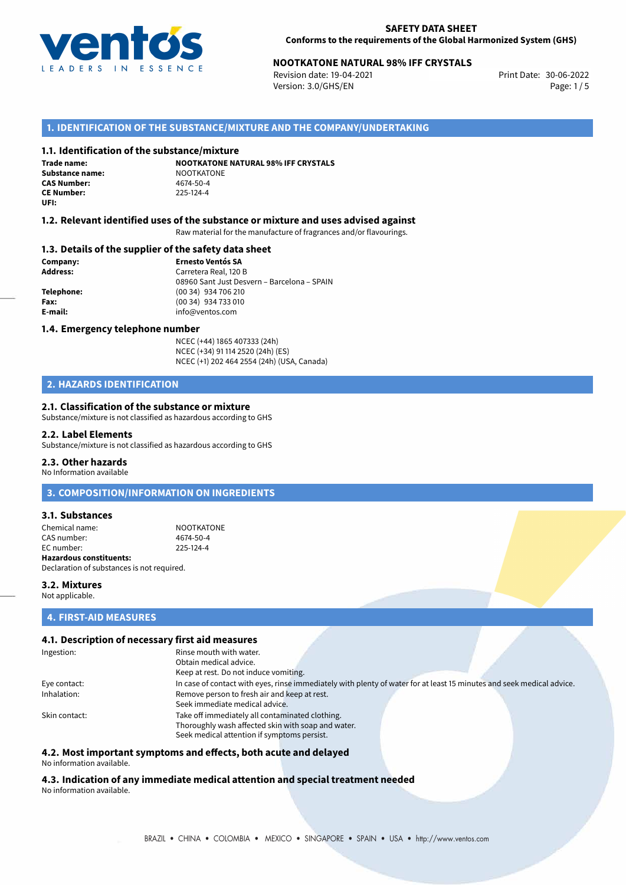

## **NOOTKATONE NATURAL 98% IFF CRYSTALS**<br>30-06-2022 **Print Date: 30-06-2022** *Ne*vision date: 19-04-2022

Revision date: 19-04-2021 Version: 3.0/GHS/EN Page: 1/5

### **1. IDENTIFICATION OF THE SUBSTANCE/MIXTURE AND THE COMPANY/UNDERTAKING**

### **1.1. Identification of the substance/mixture**

**Trade name: Substance name:** NOOTKATONE<br> **CAS Number:** 4674-50-4 **CAS Number: CE Number:** 225-124-4 **UFI:**

**NOOTKATONE NATURAL 98% IFF CRYSTALS**

### **1.2. Relevant identified uses of the substance or mixture and uses advised against**

Raw material for the manufacture of fragrances and/or flavourings.

### **1.3. Details of the supplier of the safety data sheet**

**Company: Ernesto Ventós SA Address:** Carretera Real, 120 B 08960 Sant Just Desvern – Barcelona – SPAIN **Telephone:** (00 34) 934 706 210 **Fax:** (00 34) 934 733 010 **E-mail:** info@ventos.com

### **1.4. Emergency telephone number**

NCEC (+44) 1865 407333 (24h) NCEC (+34) 91 114 2520 (24h) (ES) NCEC (+1) 202 464 2554 (24h) (USA, Canada)

### **2. HAZARDS IDENTIFICATION**

### **2.1. Classification of the substance or mixture**

Substance/mixture is not classified as hazardous according to GHS

#### **2.2. Label Elements**

Substance/mixture is not classified as hazardous according to GHS

#### **2.3. Other hazards**

No Information available

**3. COMPOSITION/INFORMATION ON INGREDIENTS**

### **3.1. Substances**

Chemical name: NOOTKATONE<br>CAS number: 4674-50-4 CAS number: EC number: 225-124-4 **Hazardous constituents:**

Declaration of substances is not required.

#### **3.2. Mixtures**

Not applicable.

### **4. FIRST-AID MEASURES**

### **4.1. Description of necessary first aid measures**

| Ingestion:    | Rinse mouth with water.                                                                                               |
|---------------|-----------------------------------------------------------------------------------------------------------------------|
|               | Obtain medical advice.                                                                                                |
|               | Keep at rest. Do not induce vomiting.                                                                                 |
| Eye contact:  | In case of contact with eyes, rinse immediately with plenty of water for at least 15 minutes and seek medical advice. |
| Inhalation:   | Remove person to fresh air and keep at rest.                                                                          |
|               | Seek immediate medical advice.                                                                                        |
| Skin contact: | Take off immediately all contaminated clothing.                                                                       |
|               | Thoroughly wash affected skin with soap and water.                                                                    |
|               | Seek medical attention if symptoms persist.                                                                           |

## **4.2. Most important symptoms and effects, both acute and delayed**

No information available.

**4.3. Indication of any immediate medical attention and special treatment needed** No information available.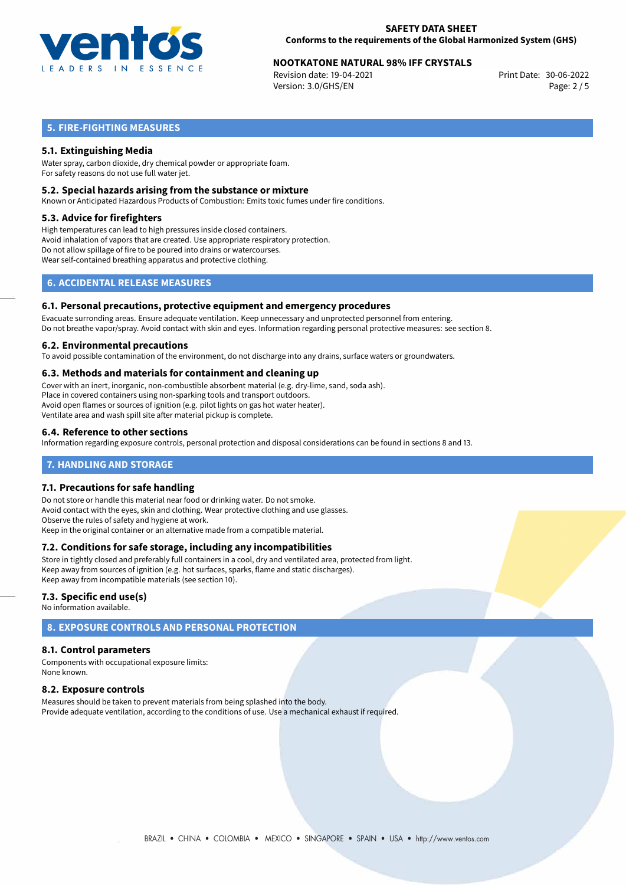

## **NOOTKATONE NATURAL 98% IFF CRYSTALS**<br>30-06-2022 **Print Date: 30-06-2022** *Ne*vision date: 19-04-2022

Revision date: 19-04-2021 Version: 3.0/GHS/EN Page: 2 / 5

## **5. FIRE-FIGHTING MEASURES**

### **5.1. Extinguishing Media**

Water spray, carbon dioxide, dry chemical powder or appropriate foam. For safety reasons do not use full water jet.

### **5.2. Special hazards arising from the substance or mixture**

Known or Anticipated Hazardous Products of Combustion: Emits toxic fumes under fire conditions.

### **5.3. Advice for firefighters**

High temperatures can lead to high pressures inside closed containers. Avoid inhalation of vapors that are created. Use appropriate respiratory protection. Do not allow spillage of fire to be poured into drains or watercourses. Wear self-contained breathing apparatus and protective clothing.

## **6. ACCIDENTAL RELEASE MEASURES**

### **6.1. Personal precautions, protective equipment and emergency procedures**

Evacuate surronding areas. Ensure adequate ventilation. Keep unnecessary and unprotected personnel from entering. Do not breathe vapor/spray. Avoid contact with skin and eyes. Information regarding personal protective measures: see section 8.

### **6.2. Environmental precautions**

To avoid possible contamination of the environment, do not discharge into any drains, surface waters or groundwaters.

### **6.3. Methods and materials for containment and cleaning up**

Cover with an inert, inorganic, non-combustible absorbent material (e.g. dry-lime, sand, soda ash). Place in covered containers using non-sparking tools and transport outdoors. Avoid open flames or sources of ignition (e.g. pilot lights on gas hot water heater). Ventilate area and wash spill site after material pickup is complete.

### **6.4. Reference to other sections**

Information regarding exposure controls, personal protection and disposal considerations can be found in sections 8 and 13.

### **7. HANDLING AND STORAGE**

### **7.1. Precautions for safe handling**

Do not store or handle this material near food or drinking water. Do not smoke. Avoid contact with the eyes, skin and clothing. Wear protective clothing and use glasses. Observe the rules of safety and hygiene at work. Keep in the original container or an alternative made from a compatible material.

### **7.2. Conditions for safe storage, including any incompatibilities**

Store in tightly closed and preferably full containers in a cool, dry and ventilated area, protected from light. Keep away from sources of ignition (e.g. hot surfaces, sparks, flame and static discharges). Keep away from incompatible materials (see section 10).

### **7.3. Specific end use(s)**

No information available.

## **8. EXPOSURE CONTROLS AND PERSONAL PROTECTION**

### **8.1. Control parameters**

Components with occupational exposure limits: None known.

### **8.2. Exposure controls**

Measures should be taken to prevent materials from being splashed into the body. Provide adequate ventilation, according to the conditions of use. Use a mechanical exhaust if required.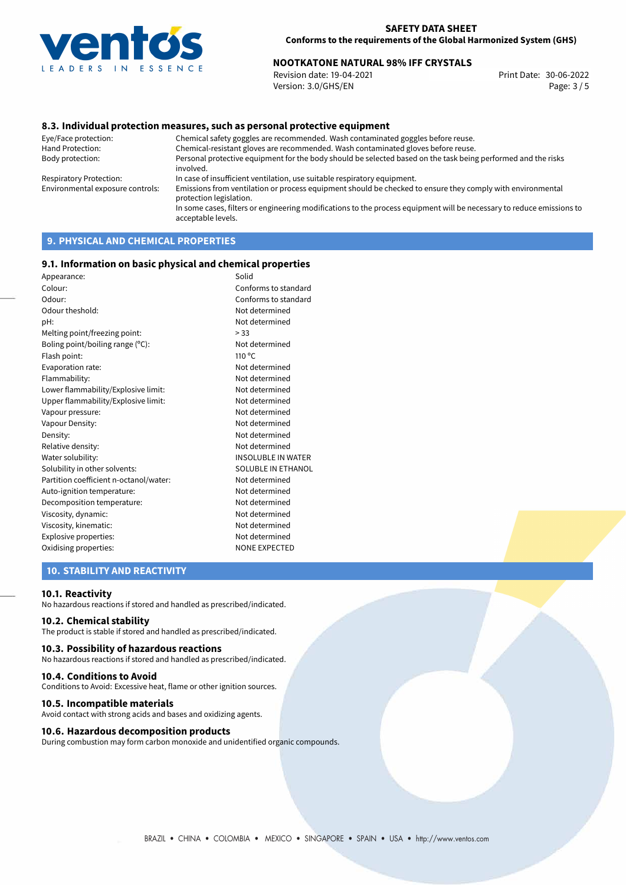

# **NOOTKATONE NATURAL 98% IFF CRYSTALS**<br>2006-2022 **Print Date: 30-06-2022** *Ne*vision date: 19-04-2021

Revision date: 19-04-2021 Version: 3.0/GHS/EN Page: 3 / 5

### **8.3. Individual protection measures, such as personal protective equipment**

Eye/Face protection: Chemical safety goggles are recommended. Wash contaminated goggles before reuse. Chemical-resistant gloves are recommended. Wash contaminated gloves before reuse. Body protection: Personal protective equipment for the body should be selected based on the task being performed and the risks involved. Respiratory Protection: In case of insufficient ventilation, use suitable respiratory equipment. Environmental exposure controls: Emissions from ventilation or process equipment should be checked to ensure they comply with environmental protection legislation. In some cases, filters or engineering modifications to the process equipment will be necessary to reduce emissions to acceptable levels.

## **9. PHYSICAL AND CHEMICAL PROPERTIES**

### **9.1. Information on basic physical and chemical properties**

| Appearance:                            | Solid                     |
|----------------------------------------|---------------------------|
| Colour:                                | Conforms to standard      |
| Odour:                                 | Conforms to standard      |
| Odour theshold:                        | Not determined            |
| pH:                                    | Not determined            |
| Melting point/freezing point:          | > 33                      |
| Boling point/boiling range (°C):       | Not determined            |
| Flash point:                           | $110^{\circ}$ C           |
| Evaporation rate:                      | Not determined            |
| Flammability:                          | Not determined            |
| Lower flammability/Explosive limit:    | Not determined            |
| Upper flammability/Explosive limit:    | Not determined            |
| Vapour pressure:                       | Not determined            |
| Vapour Density:                        | Not determined            |
| Density:                               | Not determined            |
| Relative density:                      | Not determined            |
| Water solubility:                      | <b>INSOLUBLE IN WATER</b> |
| Solubility in other solvents:          | <b>SOLUBLE IN ETHANOL</b> |
| Partition coefficient n-octanol/water: | Not determined            |
| Auto-ignition temperature:             | Not determined            |
| Decomposition temperature:             | Not determined            |
| Viscosity, dynamic:                    | Not determined            |
| Viscosity, kinematic:                  | Not determined            |
| Explosive properties:                  | Not determined            |
| Oxidising properties:                  | <b>NONE EXPECTED</b>      |
|                                        |                           |

### **10. STABILITY AND REACTIVITY**

#### **10.1. Reactivity**

No hazardous reactions if stored and handled as prescribed/indicated.

### **10.2. Chemical stability**

The product is stable if stored and handled as prescribed/indicated.

#### **10.3. Possibility of hazardous reactions**

No hazardous reactions if stored and handled as prescribed/indicated.

### **10.4. Conditions to Avoid**

Conditions to Avoid: Excessive heat, flame or other ignition sources.

### **10.5. Incompatible materials**

Avoid contact with strong acids and bases and oxidizing agents.

### **10.6. Hazardous decomposition products**

During combustion may form carbon monoxide and unidentified organic compounds.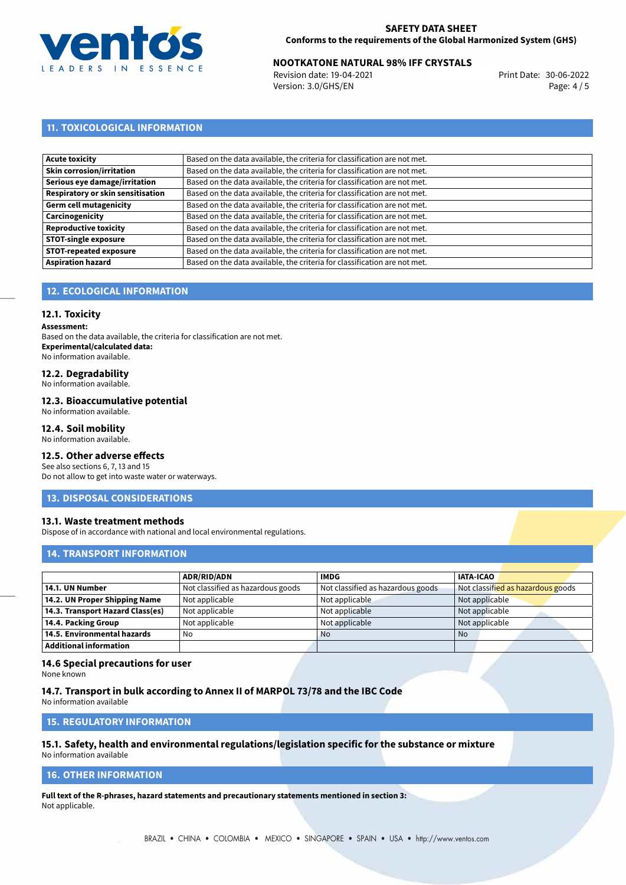

# **NOOTKATONE NATURAL 98% IFF CRYSTALS**<br>30-06-2022 **Print Date: 30-06-2022**

Revision date: 19-04-2021 Version: 3.0/GHS/EN Page: 4 / 5

## **11. TOXICOLOGICAL INFORMATION**

| Based on the data available, the criteria for classification are not met. |
|---------------------------------------------------------------------------|
| Based on the data available, the criteria for classification are not met. |
| Based on the data available, the criteria for classification are not met. |
| Based on the data available, the criteria for classification are not met. |
| Based on the data available, the criteria for classification are not met. |
| Based on the data available, the criteria for classification are not met. |
| Based on the data available, the criteria for classification are not met. |
| Based on the data available, the criteria for classification are not met. |
| Based on the data available, the criteria for classification are not met. |
| Based on the data available, the criteria for classification are not met. |
|                                                                           |

## **12. ECOLOGICAL INFORMATION**

### **12.1. Toxicity**

**Assessment:**

Based on the data available, the criteria for classification are not met. **Experimental/calculated data:** No information available.

## **12.2. Degradability**

No information available.

### **12.3. Bioaccumulative potential**

No information available.

### **12.4. Soil mobility**

No information available.

### **12.5. Other adverse effects**

See also sections 6, 7, 13 and 15 Do not allow to get into waste water or waterways.

### **13. DISPOSAL CONSIDERATIONS**

### **13.1. Waste treatment methods**

Dispose of in accordance with national and local environmental regulations.

### **14. TRANSPORT INFORMATION**

|                                  | <b>ADR/RID/ADN</b>                | <b>IMDG</b>                       | <b>IATA-ICAO</b>                  |
|----------------------------------|-----------------------------------|-----------------------------------|-----------------------------------|
| 14.1. UN Number                  | Not classified as hazardous goods | Not classified as hazardous goods | Not classified as hazardous goods |
| 14.2. UN Proper Shipping Name    | Not applicable                    | Not applicable                    | Not applicable                    |
| 14.3. Transport Hazard Class(es) | Not applicable                    | Not applicable                    | Not applicable                    |
| 14.4. Packing Group              | Not applicable                    | Not applicable                    | Not applicable                    |
| 14.5. Environmental hazards      | No                                | <b>No</b>                         | No                                |
| <b>Additional information</b>    |                                   |                                   |                                   |

### **14.6 Special precautions for user**

None known

### **14.7. Transport in bulk according to Annex II of MARPOL 73/78 and the IBC Code**

No information available

## **15. REGULATORY INFORMATION**

## **15.1. Safety, health and environmental regulations/legislation specific for the substance or mixture**

No information available

## **16. OTHER INFORMATION**

**Full text of the R-phrases, hazard statements and precautionary statements mentioned in section 3:** Not applicable.